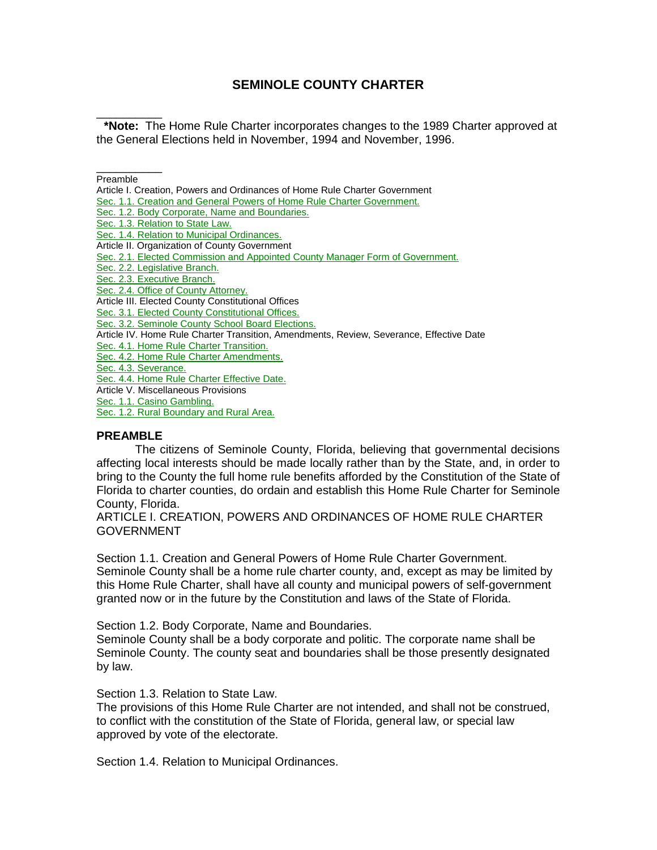# **SEMINOLE COUNTY CHARTER**

\_\_\_\_\_\_\_\_\_\_ **\*Note:** The Home Rule Charter incorporates changes to the 1989 Charter approved at the General Elections held in November, 1994 and November, 1996.

#### \_\_\_\_\_\_\_\_\_\_ Preamble

Article I. Creation, Powers and Ordinances of Home Rule Charter Government

[Sec. 1.1. Creation and General Powers of Home Rule Charter Government.](javascript:parent.setJumpLink(%2213774%22,%22ch000.x1-1.1%22,%220-0-0-114%22);)

[Sec. 1.2. Body Corporate, Name and Boundaries.](javascript:parent.setJumpLink(%2213774%22,%22ch000.x1-1.2%22,%220-0-0-116%22);)

[Sec. 1.3. Relation to State Law.](javascript:parent.setJumpLink(%2213774%22,%22ch000.x1-1.3%22,%220-0-0-118%22);)

[Sec. 1.4. Relation to Municipal Ordinances.](javascript:parent.setJumpLink(%2213774%22,%22ch000.x1-1.4%22,%220-0-0-120%22);)

Article II. Organization of County Government

[Sec. 2.1. Elected Commission and Appointed County Manager Form of Government.](javascript:parent.setJumpLink(%2213774%22,%22ch000.x1-2.1%22,%220-0-0-122%22);)

[Sec. 2.2. Legislative Branch.](javascript:parent.setJumpLink(%2213774%22,%22ch000.x1-2.2%22,%220-0-0-124%22);)

[Sec. 2.3. Executive Branch.](javascript:parent.setJumpLink(%2213774%22,%22ch000.x1-2.3%22,%220-0-0-126%22);)

[Sec. 2.4. Office of County Attorney.](javascript:parent.setJumpLink(%2213774%22,%22ch000.x1-2.4%22,%220-0-0-128%22);)

Article III. Elected County Constitutional Offices

[Sec. 3.1. Elected County Constitutional Offices.](javascript:parent.setJumpLink(%2213774%22,%22ch000.x1-3.1%22,%220-0-0-130%22);)

[Sec. 3.2. Seminole County School Board](javascript:parent.setJumpLink(%2213774%22,%22ch000.x1-3.2%22,%220-0-0-132%22);) Elections.

Article IV. Home Rule Charter Transition, Amendments, Review, Severance, Effective Date

[Sec. 4.1. Home Rule Charter Transition.](javascript:parent.setJumpLink(%2213774%22,%22ch000.x1-4.1%22,%220-0-0-134%22);)

[Sec. 4.2. Home Rule Charter Amendments.](javascript:parent.setJumpLink(%2213774%22,%22ch000.x1-4.2%22,%220-0-0-136%22);)

[Sec. 4.3. Severance.](javascript:parent.setJumpLink(%2213774%22,%22ch000.x1-4.3%22,%220-0-0-138%22);)

[Sec. 4.4. Home Rule Charter Effective Date.](javascript:parent.setJumpLink(%2213774%22,%22ch000.x1-4.4%22,%220-0-0-140%22);)

Article V. Miscellaneous Provisions

[Sec. 1.1. Casino Gambling.](javascript:parent.setJumpLink(%2213774%22,%22ch000.x1-1.1%22,%220-0-0-114%22);)

[Sec. 1.2. Rural Boundary and Rural Area.](javascript:parent.setJumpLink(%2213774%22,%22ch000.x1-1.2%22,%220-0-0-116%22);)

#### **PREAMBLE**

The citizens of Seminole County, Florida, believing that governmental decisions affecting local interests should be made locally rather than by the State, and, in order to bring to the County the full home rule benefits afforded by the Constitution of the State of Florida to charter counties, do ordain and establish this Home Rule Charter for Seminole County, Florida.

ARTICLE I. CREATION, POWERS AND ORDINANCES OF HOME RULE CHARTER GOVERNMENT

Section 1.1. Creation and General Powers of Home Rule Charter Government. Seminole County shall be a home rule charter county, and, except as may be limited by this Home Rule Charter, shall have all county and municipal powers of self-government granted now or in the future by the Constitution and laws of the State of Florida.

Section 1.2. Body Corporate, Name and Boundaries.

Seminole County shall be a body corporate and politic. The corporate name shall be Seminole County. The county seat and boundaries shall be those presently designated by law.

Section 1.3. Relation to State Law.

The provisions of this Home Rule Charter are not intended, and shall not be construed, to conflict with the constitution of the State of Florida, general law, or special law approved by vote of the electorate.

Section 1.4. Relation to Municipal Ordinances.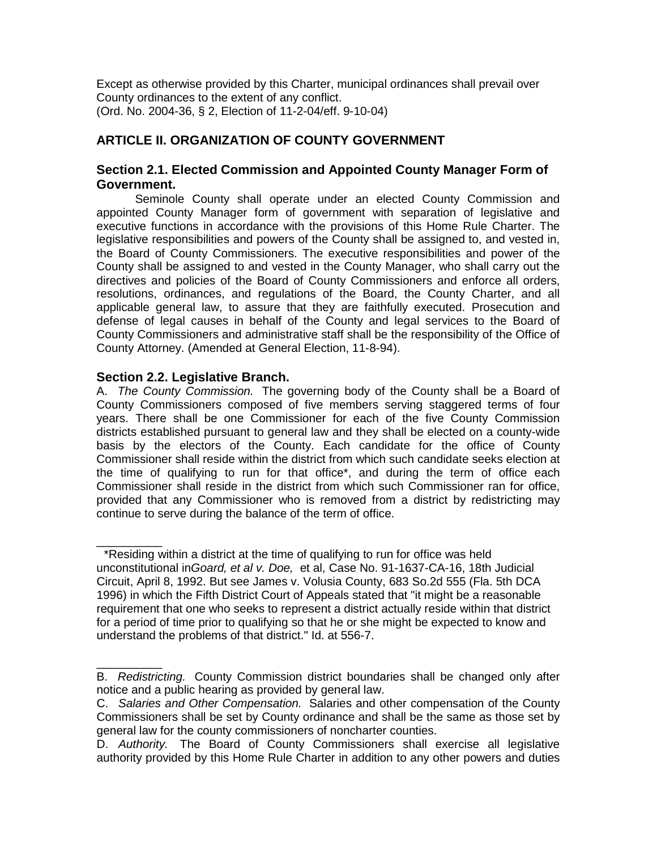Except as otherwise provided by this Charter, municipal ordinances shall prevail over County ordinances to the extent of any conflict. (Ord. No. 2004-36, § 2, Election of 11-2-04/eff. 9-10-04)

# **ARTICLE II. ORGANIZATION OF COUNTY GOVERNMENT**

# **Section 2.1. Elected Commission and Appointed County Manager Form of Government.**

Seminole County shall operate under an elected County Commission and appointed County Manager form of government with separation of legislative and executive functions in accordance with the provisions of this Home Rule Charter. The legislative responsibilities and powers of the County shall be assigned to, and vested in, the Board of County Commissioners. The executive responsibilities and power of the County shall be assigned to and vested in the County Manager, who shall carry out the directives and policies of the Board of County Commissioners and enforce all orders, resolutions, ordinances, and regulations of the Board, the County Charter, and all applicable general law, to assure that they are faithfully executed. Prosecution and defense of legal causes in behalf of the County and legal services to the Board of County Commissioners and administrative staff shall be the responsibility of the Office of County Attorney. (Amended at General Election, 11-8-94).

# **Section 2.2. Legislative Branch.**

A. *The County Commission.* The governing body of the County shall be a Board of County Commissioners composed of five members serving staggered terms of four years. There shall be one Commissioner for each of the five County Commission districts established pursuant to general law and they shall be elected on a county-wide basis by the electors of the County. Each candidate for the office of County Commissioner shall reside within the district from which such candidate seeks election at the time of qualifying to run for that office\*, and during the term of office each Commissioner shall reside in the district from which such Commissioner ran for office, provided that any Commissioner who is removed from a district by redistricting may continue to serve during the balance of the term of office.

 $\overline{\phantom{a}}$ \*Residing within a district at the time of qualifying to run for office was held unconstitutional in*Goard, et al v. Doe,* et al, Case No. 91-1637-CA-16, 18th Judicial Circuit, April 8, 1992. But see James v. Volusia County, 683 So.2d 555 (Fla. 5th DCA 1996) in which the Fifth District Court of Appeals stated that "it might be a reasonable requirement that one who seeks to represent a district actually reside within that district for a period of time prior to qualifying so that he or she might be expected to know and understand the problems of that district." Id. at 556-7.

 $\overline{\phantom{a}}$ B. *Redistricting.* County Commission district boundaries shall be changed only after notice and a public hearing as provided by general law.

C. *Salaries and Other Compensation.* Salaries and other compensation of the County Commissioners shall be set by County ordinance and shall be the same as those set by general law for the county commissioners of noncharter counties.

D. *Authority.* The Board of County Commissioners shall exercise all legislative authority provided by this Home Rule Charter in addition to any other powers and duties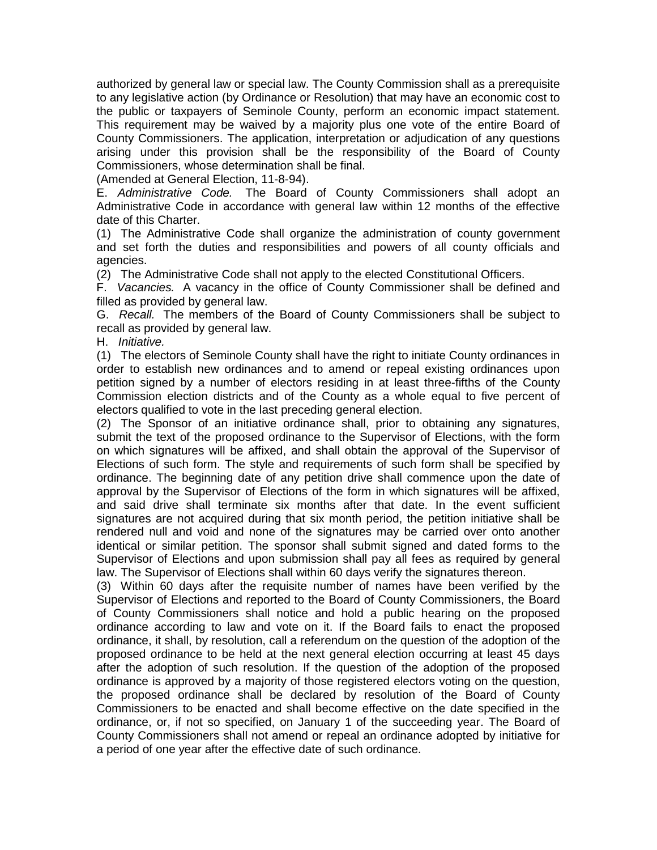authorized by general law or special law. The County Commission shall as a prerequisite to any legislative action (by Ordinance or Resolution) that may have an economic cost to the public or taxpayers of Seminole County, perform an economic impact statement. This requirement may be waived by a majority plus one vote of the entire Board of County Commissioners. The application, interpretation or adjudication of any questions arising under this provision shall be the responsibility of the Board of County Commissioners, whose determination shall be final.

(Amended at General Election, 11-8-94).

E. *Administrative Code.* The Board of County Commissioners shall adopt an Administrative Code in accordance with general law within 12 months of the effective date of this Charter.

(1) The Administrative Code shall organize the administration of county government and set forth the duties and responsibilities and powers of all county officials and agencies.

(2) The Administrative Code shall not apply to the elected Constitutional Officers.

F. *Vacancies.* A vacancy in the office of County Commissioner shall be defined and filled as provided by general law.

G. *Recall.* The members of the Board of County Commissioners shall be subject to recall as provided by general law.

H. *Initiative.*

(1) The electors of Seminole County shall have the right to initiate County ordinances in order to establish new ordinances and to amend or repeal existing ordinances upon petition signed by a number of electors residing in at least three-fifths of the County Commission election districts and of the County as a whole equal to five percent of electors qualified to vote in the last preceding general election.

(2) The Sponsor of an initiative ordinance shall, prior to obtaining any signatures, submit the text of the proposed ordinance to the Supervisor of Elections, with the form on which signatures will be affixed, and shall obtain the approval of the Supervisor of Elections of such form. The style and requirements of such form shall be specified by ordinance. The beginning date of any petition drive shall commence upon the date of approval by the Supervisor of Elections of the form in which signatures will be affixed, and said drive shall terminate six months after that date. In the event sufficient signatures are not acquired during that six month period, the petition initiative shall be rendered null and void and none of the signatures may be carried over onto another identical or similar petition. The sponsor shall submit signed and dated forms to the Supervisor of Elections and upon submission shall pay all fees as required by general law. The Supervisor of Elections shall within 60 days verify the signatures thereon.

(3) Within 60 days after the requisite number of names have been verified by the Supervisor of Elections and reported to the Board of County Commissioners, the Board of County Commissioners shall notice and hold a public hearing on the proposed ordinance according to law and vote on it. If the Board fails to enact the proposed ordinance, it shall, by resolution, call a referendum on the question of the adoption of the proposed ordinance to be held at the next general election occurring at least 45 days after the adoption of such resolution. If the question of the adoption of the proposed ordinance is approved by a majority of those registered electors voting on the question, the proposed ordinance shall be declared by resolution of the Board of County Commissioners to be enacted and shall become effective on the date specified in the ordinance, or, if not so specified, on January 1 of the succeeding year. The Board of County Commissioners shall not amend or repeal an ordinance adopted by initiative for a period of one year after the effective date of such ordinance.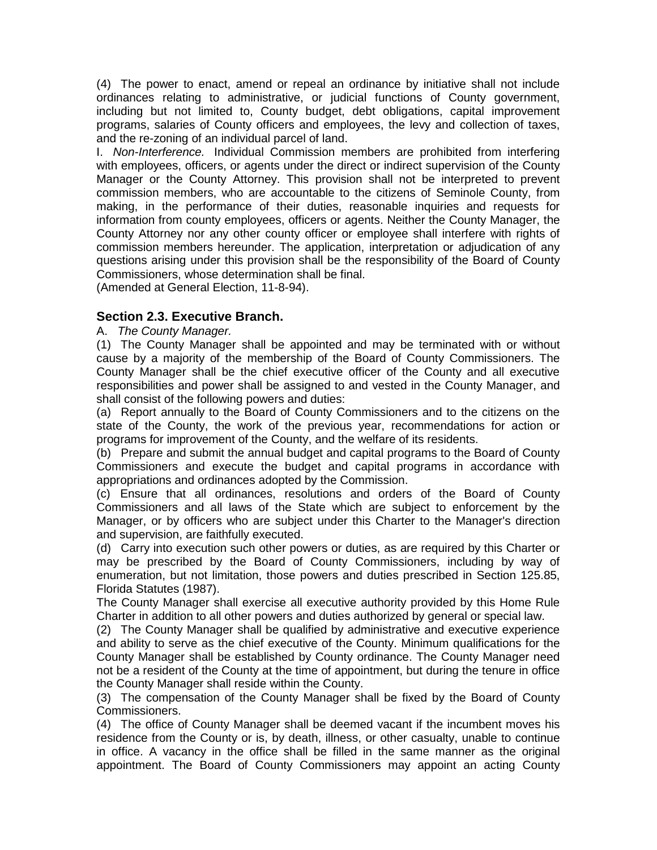(4) The power to enact, amend or repeal an ordinance by initiative shall not include ordinances relating to administrative, or judicial functions of County government, including but not limited to, County budget, debt obligations, capital improvement programs, salaries of County officers and employees, the levy and collection of taxes, and the re-zoning of an individual parcel of land.

I. *Non-Interference.* Individual Commission members are prohibited from interfering with employees, officers, or agents under the direct or indirect supervision of the County Manager or the County Attorney. This provision shall not be interpreted to prevent commission members, who are accountable to the citizens of Seminole County, from making, in the performance of their duties, reasonable inquiries and requests for information from county employees, officers or agents. Neither the County Manager, the County Attorney nor any other county officer or employee shall interfere with rights of commission members hereunder. The application, interpretation or adjudication of any questions arising under this provision shall be the responsibility of the Board of County Commissioners, whose determination shall be final.

(Amended at General Election, 11-8-94).

# **Section 2.3. Executive Branch.**

#### A. *The County Manager.*

(1) The County Manager shall be appointed and may be terminated with or without cause by a majority of the membership of the Board of County Commissioners. The County Manager shall be the chief executive officer of the County and all executive responsibilities and power shall be assigned to and vested in the County Manager, and shall consist of the following powers and duties:

(a) Report annually to the Board of County Commissioners and to the citizens on the state of the County, the work of the previous year, recommendations for action or programs for improvement of the County, and the welfare of its residents.

(b) Prepare and submit the annual budget and capital programs to the Board of County Commissioners and execute the budget and capital programs in accordance with appropriations and ordinances adopted by the Commission.

(c) Ensure that all ordinances, resolutions and orders of the Board of County Commissioners and all laws of the State which are subject to enforcement by the Manager, or by officers who are subject under this Charter to the Manager's direction and supervision, are faithfully executed.

(d) Carry into execution such other powers or duties, as are required by this Charter or may be prescribed by the Board of County Commissioners, including by way of enumeration, but not limitation, those powers and duties prescribed in Section 125.85, Florida Statutes (1987).

The County Manager shall exercise all executive authority provided by this Home Rule Charter in addition to all other powers and duties authorized by general or special law.

(2) The County Manager shall be qualified by administrative and executive experience and ability to serve as the chief executive of the County. Minimum qualifications for the County Manager shall be established by County ordinance. The County Manager need not be a resident of the County at the time of appointment, but during the tenure in office the County Manager shall reside within the County.

(3) The compensation of the County Manager shall be fixed by the Board of County Commissioners.

(4) The office of County Manager shall be deemed vacant if the incumbent moves his residence from the County or is, by death, illness, or other casualty, unable to continue in office. A vacancy in the office shall be filled in the same manner as the original appointment. The Board of County Commissioners may appoint an acting County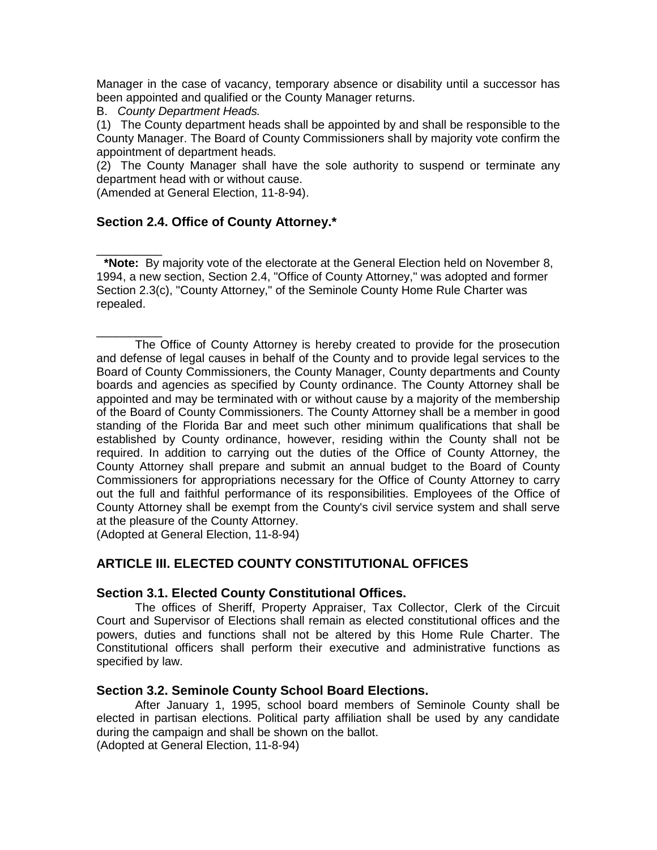Manager in the case of vacancy, temporary absence or disability until a successor has been appointed and qualified or the County Manager returns.

B. *County Department Heads.*

 $\overline{\phantom{a}}$ 

(1) The County department heads shall be appointed by and shall be responsible to the County Manager. The Board of County Commissioners shall by majority vote confirm the appointment of department heads.

(2) The County Manager shall have the sole authority to suspend or terminate any department head with or without cause.

(Amended at General Election, 11-8-94).

# **Section 2.4. Office of County Attorney.\***

**\*Note:** By majority vote of the electorate at the General Election held on November 8, 1994, a new section, Section 2.4, "Office of County Attorney," was adopted and former Section 2.3(c), "County Attorney," of the Seminole County Home Rule Charter was repealed.

\_\_\_\_\_\_\_\_\_\_ The Office of County Attorney is hereby created to provide for the prosecution and defense of legal causes in behalf of the County and to provide legal services to the Board of County Commissioners, the County Manager, County departments and County boards and agencies as specified by County ordinance. The County Attorney shall be appointed and may be terminated with or without cause by a majority of the membership of the Board of County Commissioners. The County Attorney shall be a member in good standing of the Florida Bar and meet such other minimum qualifications that shall be established by County ordinance, however, residing within the County shall not be required. In addition to carrying out the duties of the Office of County Attorney, the County Attorney shall prepare and submit an annual budget to the Board of County Commissioners for appropriations necessary for the Office of County Attorney to carry out the full and faithful performance of its responsibilities. Employees of the Office of County Attorney shall be exempt from the County's civil service system and shall serve at the pleasure of the County Attorney.

(Adopted at General Election, 11-8-94)

# **ARTICLE III. ELECTED COUNTY CONSTITUTIONAL OFFICES**

### **Section 3.1. Elected County Constitutional Offices.**

The offices of Sheriff, Property Appraiser, Tax Collector, Clerk of the Circuit Court and Supervisor of Elections shall remain as elected constitutional offices and the powers, duties and functions shall not be altered by this Home Rule Charter. The Constitutional officers shall perform their executive and administrative functions as specified by law.

### **Section 3.2. Seminole County School Board Elections.**

After January 1, 1995, school board members of Seminole County shall be elected in partisan elections. Political party affiliation shall be used by any candidate during the campaign and shall be shown on the ballot.

(Adopted at General Election, 11-8-94)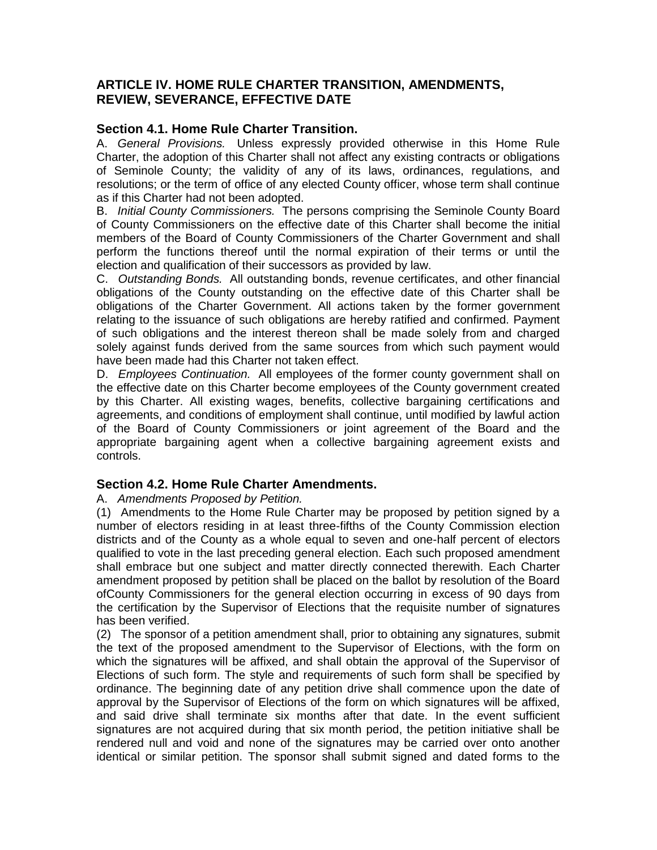# **ARTICLE IV. HOME RULE CHARTER TRANSITION, AMENDMENTS, REVIEW, SEVERANCE, EFFECTIVE DATE**

## **Section 4.1. Home Rule Charter Transition.**

A. *General Provisions.* Unless expressly provided otherwise in this Home Rule Charter, the adoption of this Charter shall not affect any existing contracts or obligations of Seminole County; the validity of any of its laws, ordinances, regulations, and resolutions; or the term of office of any elected County officer, whose term shall continue as if this Charter had not been adopted.

B. *Initial County Commissioners.* The persons comprising the Seminole County Board of County Commissioners on the effective date of this Charter shall become the initial members of the Board of County Commissioners of the Charter Government and shall perform the functions thereof until the normal expiration of their terms or until the election and qualification of their successors as provided by law.

C. *Outstanding Bonds.* All outstanding bonds, revenue certificates, and other financial obligations of the County outstanding on the effective date of this Charter shall be obligations of the Charter Government. All actions taken by the former government relating to the issuance of such obligations are hereby ratified and confirmed. Payment of such obligations and the interest thereon shall be made solely from and charged solely against funds derived from the same sources from which such payment would have been made had this Charter not taken effect.

D. *Employees Continuation.* All employees of the former county government shall on the effective date on this Charter become employees of the County government created by this Charter. All existing wages, benefits, collective bargaining certifications and agreements, and conditions of employment shall continue, until modified by lawful action of the Board of County Commissioners or joint agreement of the Board and the appropriate bargaining agent when a collective bargaining agreement exists and controls.

### **Section 4.2. Home Rule Charter Amendments.**

### A. *Amendments Proposed by Petition.*

(1) Amendments to the Home Rule Charter may be proposed by petition signed by a number of electors residing in at least three-fifths of the County Commission election districts and of the County as a whole equal to seven and one-half percent of electors qualified to vote in the last preceding general election. Each such proposed amendment shall embrace but one subject and matter directly connected therewith. Each Charter amendment proposed by petition shall be placed on the ballot by resolution of the Board ofCounty Commissioners for the general election occurring in excess of 90 days from the certification by the Supervisor of Elections that the requisite number of signatures has been verified.

(2) The sponsor of a petition amendment shall, prior to obtaining any signatures, submit the text of the proposed amendment to the Supervisor of Elections, with the form on which the signatures will be affixed, and shall obtain the approval of the Supervisor of Elections of such form. The style and requirements of such form shall be specified by ordinance. The beginning date of any petition drive shall commence upon the date of approval by the Supervisor of Elections of the form on which signatures will be affixed, and said drive shall terminate six months after that date. In the event sufficient signatures are not acquired during that six month period, the petition initiative shall be rendered null and void and none of the signatures may be carried over onto another identical or similar petition. The sponsor shall submit signed and dated forms to the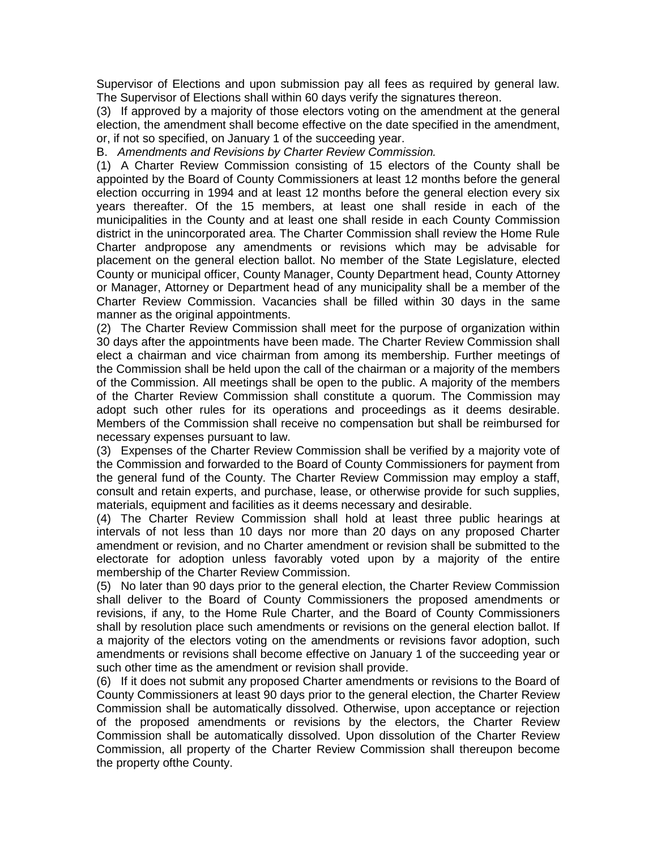Supervisor of Elections and upon submission pay all fees as required by general law. The Supervisor of Elections shall within 60 days verify the signatures thereon.

(3) If approved by a majority of those electors voting on the amendment at the general election, the amendment shall become effective on the date specified in the amendment, or, if not so specified, on January 1 of the succeeding year.

B. *Amendments and Revisions by Charter Review Commission.*

(1) A Charter Review Commission consisting of 15 electors of the County shall be appointed by the Board of County Commissioners at least 12 months before the general election occurring in 1994 and at least 12 months before the general election every six years thereafter. Of the 15 members, at least one shall reside in each of the municipalities in the County and at least one shall reside in each County Commission district in the unincorporated area. The Charter Commission shall review the Home Rule Charter andpropose any amendments or revisions which may be advisable for placement on the general election ballot. No member of the State Legislature, elected County or municipal officer, County Manager, County Department head, County Attorney or Manager, Attorney or Department head of any municipality shall be a member of the Charter Review Commission. Vacancies shall be filled within 30 days in the same manner as the original appointments.

(2) The Charter Review Commission shall meet for the purpose of organization within 30 days after the appointments have been made. The Charter Review Commission shall elect a chairman and vice chairman from among its membership. Further meetings of the Commission shall be held upon the call of the chairman or a majority of the members of the Commission. All meetings shall be open to the public. A majority of the members of the Charter Review Commission shall constitute a quorum. The Commission may adopt such other rules for its operations and proceedings as it deems desirable. Members of the Commission shall receive no compensation but shall be reimbursed for necessary expenses pursuant to law.

(3) Expenses of the Charter Review Commission shall be verified by a majority vote of the Commission and forwarded to the Board of County Commissioners for payment from the general fund of the County. The Charter Review Commission may employ a staff, consult and retain experts, and purchase, lease, or otherwise provide for such supplies, materials, equipment and facilities as it deems necessary and desirable.

(4) The Charter Review Commission shall hold at least three public hearings at intervals of not less than 10 days nor more than 20 days on any proposed Charter amendment or revision, and no Charter amendment or revision shall be submitted to the electorate for adoption unless favorably voted upon by a majority of the entire membership of the Charter Review Commission.

(5) No later than 90 days prior to the general election, the Charter Review Commission shall deliver to the Board of County Commissioners the proposed amendments or revisions, if any, to the Home Rule Charter, and the Board of County Commissioners shall by resolution place such amendments or revisions on the general election ballot. If a majority of the electors voting on the amendments or revisions favor adoption, such amendments or revisions shall become effective on January 1 of the succeeding year or such other time as the amendment or revision shall provide.

(6) If it does not submit any proposed Charter amendments or revisions to the Board of County Commissioners at least 90 days prior to the general election, the Charter Review Commission shall be automatically dissolved. Otherwise, upon acceptance or rejection of the proposed amendments or revisions by the electors, the Charter Review Commission shall be automatically dissolved. Upon dissolution of the Charter Review Commission, all property of the Charter Review Commission shall thereupon become the property ofthe County.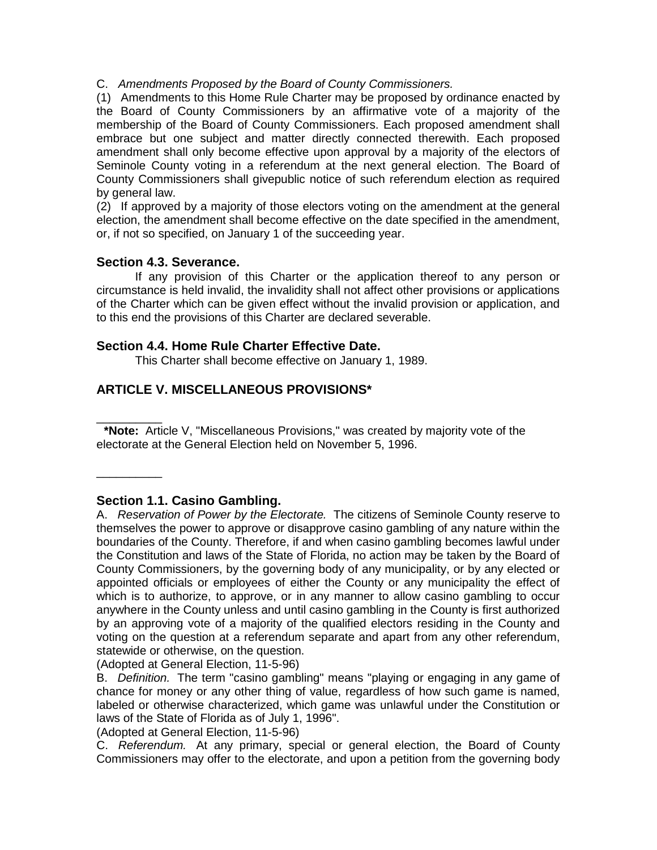C. *Amendments Proposed by the Board of County Commissioners.*

(1) Amendments to this Home Rule Charter may be proposed by ordinance enacted by the Board of County Commissioners by an affirmative vote of a majority of the membership of the Board of County Commissioners. Each proposed amendment shall embrace but one subject and matter directly connected therewith. Each proposed amendment shall only become effective upon approval by a majority of the electors of Seminole County voting in a referendum at the next general election. The Board of County Commissioners shall givepublic notice of such referendum election as required by general law.

(2) If approved by a majority of those electors voting on the amendment at the general election, the amendment shall become effective on the date specified in the amendment, or, if not so specified, on January 1 of the succeeding year.

#### **Section 4.3. Severance.**

If any provision of this Charter or the application thereof to any person or circumstance is held invalid, the invalidity shall not affect other provisions or applications of the Charter which can be given effect without the invalid provision or application, and to this end the provisions of this Charter are declared severable.

#### **Section 4.4. Home Rule Charter Effective Date.**

This Charter shall become effective on January 1, 1989.

# **ARTICLE V. MISCELLANEOUS PROVISIONS\***

 $\overline{\phantom{a}}$ **\*Note:** Article V, "Miscellaneous Provisions," was created by majority vote of the electorate at the General Election held on November 5, 1996.

### **Section 1.1. Casino Gambling.**

 $\overline{\phantom{a}}$ 

A. *Reservation of Power by the Electorate.* The citizens of Seminole County reserve to themselves the power to approve or disapprove casino gambling of any nature within the boundaries of the County. Therefore, if and when casino gambling becomes lawful under the Constitution and laws of the State of Florida, no action may be taken by the Board of County Commissioners, by the governing body of any municipality, or by any elected or appointed officials or employees of either the County or any municipality the effect of which is to authorize, to approve, or in any manner to allow casino gambling to occur anywhere in the County unless and until casino gambling in the County is first authorized by an approving vote of a majority of the qualified electors residing in the County and voting on the question at a referendum separate and apart from any other referendum, statewide or otherwise, on the question.

(Adopted at General Election, 11-5-96)

B. *Definition.* The term "casino gambling" means "playing or engaging in any game of chance for money or any other thing of value, regardless of how such game is named, labeled or otherwise characterized, which game was unlawful under the Constitution or laws of the State of Florida as of July 1, 1996".

(Adopted at General Election, 11-5-96)

C. *Referendum.* At any primary, special or general election, the Board of County Commissioners may offer to the electorate, and upon a petition from the governing body